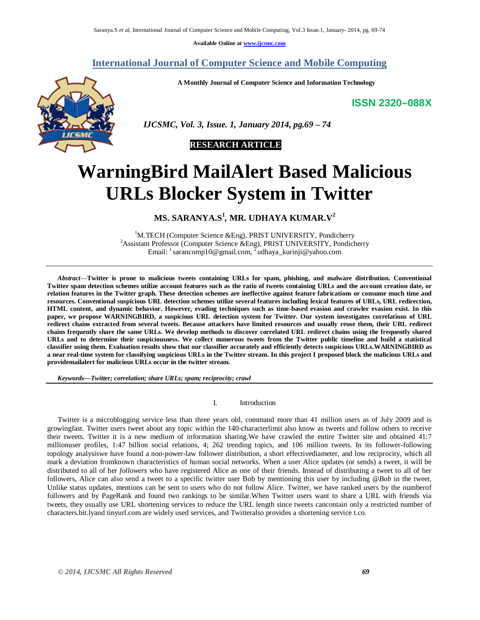**Available Online at www.ijcsmc.com**

# **International Journal of Computer Science and Mobile Computing**

**A Monthly Journal of Computer Science and Information Technology**

# **ISSN 2320–088X**



 *IJCSMC, Vol. 3, Issue. 1, January 2014, pg.69 – 74*

# **RESEARCH ARTICLE**

# **WarningBird MailAlert Based Malicious URLs Blocker System in Twitter**

**MS. SARANYA.S<sup>1</sup>** *,* **MR. UDHAYA KUMAR.V 2**

 ${}^{1}$ M.TECH (Computer Science &Eng), PRIST UNIVERSITY, Pondicherry <sup>2</sup>Assistant Professor (Computer Science &Eng), PRIST UNIVERSITY, Pondicherry Email: <sup>1</sup> sarancomp10@gmail.com, <sup>2</sup>udhaya\_kurinji@yahoo.com

*Abstract*—**Twitter is prone to malicious tweets containing URLs for spam, phishing, and malware distribution. Conventional Twitter spam detection schemes utilize account features such as the ratio of tweets containing URLs and the account creation date, or relation features in the Twitter graph. These detection schemes are ineffective against feature fabrications or consume much time and resources. Conventional suspicious URL detection schemes utilize several features including lexical features of URLs, URL redirection, HTML content, and dynamic behavior. However, evading techniques such as time-based evasion and crawler evasion exist. In this paper, we propose WARNINGBIRD, a suspicious URL detection system for Twitter. Our system investigates correlations of URL redirect chains extracted from several tweets. Because attackers have limited resources and usually reuse them, their URL redirect chains frequently share the same URLs. We develop methods to discover correlated URL redirect chains using the frequently shared URLs and to determine their suspiciousness. We collect numerous tweets from the Twitter public timeline and build a statistical classifier using them. Evaluation results show that our classifier accurately and efficiently detects suspicious URLs.WARNINGBIRD as a near real-time system for classifying suspicious URLs in the Twitter stream. In this project I proposed block the malicious URLs and providemailalert for malicious URLs occur in the twitter stream.**

*Keywords—Twitter; correlation; share URLs; spam; reciprocity; crawl*

I. Introduction

Twitter is a microblogging service less than three years old, command more than 41 million users as of July 2009 and is growingfast. Twitter users tweet about any topic within the 140-characterlimit also know as tweets and follow others to receive their tweets. Twitter it is a new medium of information sharing.We have crawled the entire Twitter site and obtained 41:7 millionuser profiles, 1:47 billion social relations, 4; 262 trending topics, and 106 million tweets. In its follower-following topology analysiswe have found a non-power-law follower distribution, a short effectivediameter, and low reciprocity, which all mark a deviation fromknown characteristics of human social networks. When a user Alice updates (or sends) a tweet, it will be distributed to all of her *followers* who have registered Alice as one of their friends. Instead of distributing a tweet to all of her followers, Alice can also send a tweet to a specific twitter user Bob by mentioning this user by including *@Bob* in the tweet. Unlike status updates, mentions can be sent to users who do not follow Alice. Twitter, we have ranked users by the numberof followers and by PageRank and found two rankings to be similar.When Twitter users want to share a URL with friends via tweets, they usually use URL shortening services to reduce the URL length since tweets cancontain only a restricted number of characters.bit.lyand tinyurl.com are widely used services, and Twitteralso provides a shortening service t.co.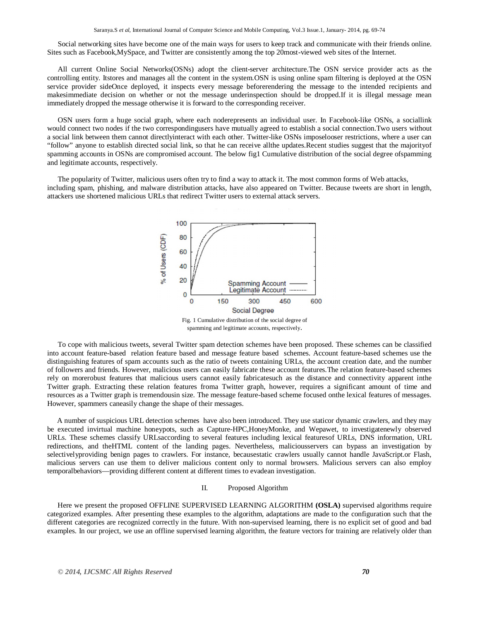Social networking sites have become one of the main ways for users to keep track and communicate with their friends online. Sites such as Facebook,MySpace, and Twitter are consistently among the top 20most-viewed web sites of the Internet.

All current Online Social Networks(OSNs) adopt the client-server architecture.The OSN service provider acts as the controlling entity. Itstores and manages all the content in the system.OSN is using online spam filtering is deployed at the OSN service provider sideOnce deployed, it inspects every message beforerendering the message to the intended recipients and makesimmediate decision on whether or not the message underinspection should be dropped.If it is illegal message mean immediately dropped the message otherwise it is forward to the corresponding receiver.

OSN users form a huge social graph, where each noderepresents an individual user. In Facebook-like OSNs, a sociallink would connect two nodes if the two correspondingusers have mutually agreed to establish a social connection.Two users without a social link between them cannot directlyinteract with each other. Twitter-like OSNs imposelooser restrictions, where a user can "follow" anyone to establish directed social link, so that he can receive allthe updates.Recent studies suggest that the majorityof spamming accounts in OSNs are compromised account. The below fig1 Cumulative distribution of the social degree ofspamming and legitimate accounts, respectively.

The popularity of Twitter, malicious users often try to find a way to attack it. The most common forms of Web attacks, including spam, phishing, and malware distribution attacks, have also appeared on Twitter. Because tweets are short in length, attackers use shortened malicious URLs that redirect Twitter users to external attack servers.



Fig. 1 Cumulative distribution of the social degree of spamming and legitimate accounts, respectively.

To cope with malicious tweets, several Twitter spam detection schemes have been proposed. These schemes can be classified into account feature-based relation feature based and message feature based schemes. Account feature-based schemes use the distinguishing features of spam accounts such as the ratio of tweets containing URLs, the account creation date, and the number of followers and friends. However, malicious users can easily fabricate these account features.The relation feature-based schemes rely on morerobust features that malicious users cannot easily fabricatesuch as the distance and connectivity apparent inthe Twitter graph. Extracting these relation features froma Twitter graph, however, requires a significant amount of time and resources as a Twitter graph is tremendousin size. The message feature-based scheme focused onthe lexical features of messages. However, spammers caneasily change the shape of their messages.

A number of suspicious URL detection schemes have also been introduced. They use staticor dynamic crawlers, and they may be executed invirtual machine honeypots, such as Capture-HPC,HoneyMonke, and Wepawet, to investigatenewly observed URLs. These schemes classify URLsaccording to several features including lexical featuresof URLs, DNS information, URL redirections, and theHTML content of the landing pages. Nevertheless, maliciousservers can bypass an investigation by selectivelyproviding benign pages to crawlers. For instance, becausestatic crawlers usually cannot handle JavaScript.or Flash, malicious servers can use them to deliver malicious content only to normal browsers. Malicious servers can also employ temporalbehaviors—providing different content at different times to evadean investigation.

# II. Proposed Algorithm

Here we present the proposed OFFLINE SUPERVISED LEARNING ALGORITHM **(OSLA)** supervised algorithms require categorized examples. After presenting these examples to the algorithm, adaptations are made to the configuration such that the different categories are recognized correctly in the future. With non-supervised learning, there is no explicit set of good and bad examples. In our project, we use an offline supervised learning algorithm, the feature vectors for training are relatively older than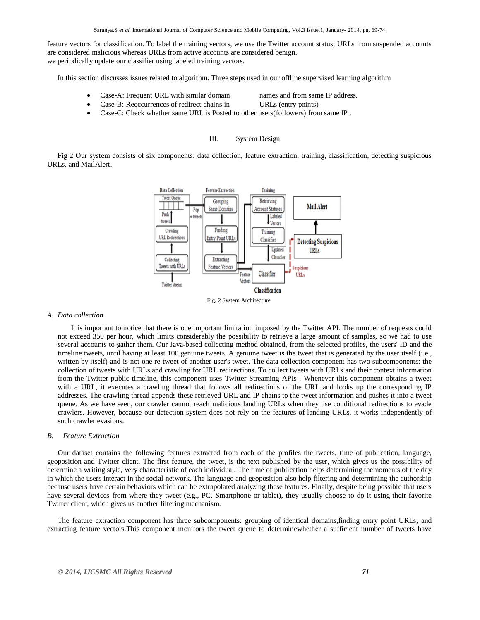feature vectors for classification. To label the training vectors, we use the Twitter account status; URLs from suspended accounts are considered malicious whereas URLs from active accounts are considered benign. we periodically update our classifier using labeled training vectors.

In this section discusses issues related to algorithm. Three steps used in our offline supervised learning algorithm

- Case-A: Frequent URL with similar domain names and from same IP address.
	- Case-B: Reoccurrences of redirect chains in URLs (entry points)
- 
- Case-C: Check whether same URL is Posted to other users(followers) from same IP.

# III. System Design

Fig 2 Our system consists of six components: data collection, feature extraction, training, classification, detecting suspicious URLs, and MailAlert.



Fig. 2 System Architecture.

# *A. Data collection*

It is important to notice that there is one important limitation imposed by the Twitter API. The number of requests could not exceed 350 per hour, which limits considerably the possibility to retrieve a large amount of samples, so we had to use several accounts to gather them. Our Java-based collecting method obtained, from the selected profiles, the users' ID and the timeline tweets, until having at least 100 genuine tweets. A genuine tweet is the tweet that is generated by the user itself (i.e., written by itself) and is not one re-tweet of another user's tweet. The data collection component has two subcomponents: the collection of tweets with URLs and crawling for URL redirections. To collect tweets with URLs and their context information from the Twitter public timeline, this component uses Twitter Streaming APIs . Whenever this component obtains a tweet with a URL, it executes a crawling thread that follows all redirections of the URL and looks up the corresponding IP addresses. The crawling thread appends these retrieved URL and IP chains to the tweet information and pushes it into a tweet queue. As we have seen, our crawler cannot reach malicious landing URLs when they use conditional redirections to evade crawlers. However, because our detection system does not rely on the features of landing URLs, it works independently of such crawler evasions.

# *B. Feature Extraction*

Our dataset contains the following features extracted from each of the profiles the tweets, time of publication, language, geoposition and Twitter client. The first feature, the tweet, is the text published by the user, which gives us the possibility of determine a writing style, very characteristic of each individual. The time of publication helps determining themoments of the day in which the users interact in the social network. The language and geoposition also help filtering and determining the authorship because users have certain behaviors which can be extrapolated analyzing these features. Finally, despite being possible that users have several devices from where they tweet (e.g., PC, Smartphone or tablet), they usually choose to do it using their favorite Twitter client, which gives us another filtering mechanism.

The feature extraction component has three subcomponents: grouping of identical domains,finding entry point URLs, and extracting feature vectors.This component monitors the tweet queue to determinewhether a sufficient number of tweets have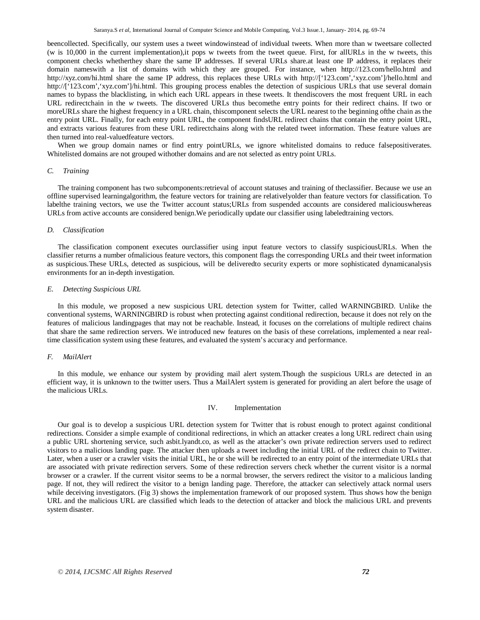beencollected. Specifically, our system uses a tweet windowinstead of individual tweets. When more than w tweetsare collected (w is 10,000 in the current implementation),it pops w tweets from the tweet queue. First, for allURLs in the w tweets, this component checks whetherthey share the same IP addresses. If several URLs share.at least one IP address, it replaces their domain nameswith a list of domains with which they are grouped. For instance, when http://123.com/hello.html and http://xyz.com/hi.html share the same IP address, this replaces these URLs with http://['123.com','xyz.com']/hello.html and http://['123.com','xyz.com']/hi.html. This grouping process enables the detection of suspicious URLs that use several domain names to bypass the blacklisting, in which each URL appears in these tweets. It thendiscovers the most frequent URL in each URL redirectchain in the *w* tweets. The discovered URLs thus becomethe entry points for their redirect chains. If two or moreURLs share the highest frequency in a URL chain, thiscomponent selects the URL nearest to the beginning ofthe chain as the entry point URL. Finally, for each entry point URL, the component findsURL redirect chains that contain the entry point URL, and extracts various features from these URL redirectchains along with the related tweet information. These feature values are then turned into real-valuedfeature vectors.

When we group domain names or find entry pointURLs, we ignore whitelisted domains to reduce falsepositiverates. Whitelisted domains are not grouped withother domains and are not selected as entry point URLs.

#### *C. Training*

The training component has two subcomponents:retrieval of account statuses and training of theclassifier. Because we use an offline supervised learningalgorithm, the feature vectors for training are relativelyolder than feature vectors for classification. To labelthe training vectors, we use the Twitter account status;URLs from suspended accounts are considered maliciouswhereas URLs from active accounts are considered benign.We periodically update our classifier using labeledtraining vectors.

#### *D. Classification*

The classification component executes ourclassifier using input feature vectors to classify suspiciousURLs. When the classifier returns a number ofmalicious feature vectors, this component flags the corresponding URLs and their tweet information as suspicious.These URLs, detected as suspicious, will be deliveredto security experts or more sophisticated dynamicanalysis environments for an in-depth investigation.

# *E. Detecting Suspicious URL*

In this module, we proposed a new suspicious URL detection system for Twitter, called WARNINGBIRD. Unlike the conventional systems, WARNINGBIRD is robust when protecting against conditional redirection, because it does not rely on the features of malicious landingpages that may not be reachable. Instead, it focuses on the correlations of multiple redirect chains that share the same redirection servers. We introduced new features on the basis of these correlations, implemented a near realtime classification system using these features, and evaluated the system's accuracy and performance.

## *F. MailAlert*

In this module, we enhance our system by providing mail alert system. Though the suspicious URLs are detected in an efficient way, it is unknown to the twitter users. Thus a MailAlert system is generated for providing an alert before the usage of the malicious URLs.

## IV. Implementation

Our goal is to develop a suspicious URL detection system for Twitter that is robust enough to protect against conditional redirections. Consider a simple example of conditional redirections, in which an attacker creates a long URL redirect chain using a public URL shortening service, such asbit.lyandt.co, as well as the attacker's own private redirection servers used to redirect visitors to a malicious landing page. The attacker then uploads a tweet including the initial URL of the redirect chain to Twitter. Later, when a user or a crawler visits the initial URL, he or she will be redirected to an entry point of the intermediate URLs that are associated with private redirection servers. Some of these redirection servers check whether the current visitor is a normal browser or a crawler. If the current visitor seems to be a normal browser, the servers redirect the visitor to a malicious landing page. If not, they will redirect the visitor to a benign landing page. Therefore, the attacker can selectively attack normal users while deceiving investigators. (Fig 3) shows the implementation framework of our proposed system. Thus shows how the benign URL and the malicious URL are classified which leads to the detection of attacker and block the malicious URL and prevents system disaster.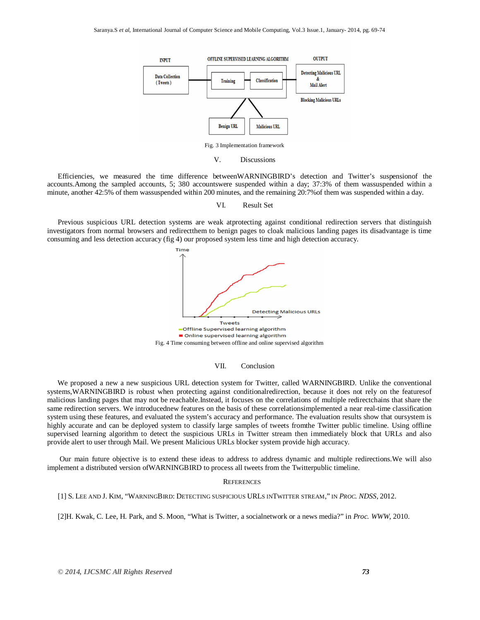

Efficiencies, we measured the time difference betweenWARNINGBIRD's detection and Twitter's suspensionof the accounts.Among the sampled accounts, 5; 380 accountswere suspended within a day; 37:3% of them wassuspended within a minute, another 42:5% of them wassuspended within 200 minutes, and the remaining 20:7%of them was suspended within a day.

VI. Result Set

Previous suspicious URL detection systems are weak atprotecting against conditional redirection servers that distinguish investigators from normal browsers and redirectthem to benign pages to cloak malicious landing pages its disadvantage is time consuming and less detection accuracy (fig 4) our proposed system less time and high detection accuracy.



## VII. Conclusion

We proposed a new a new suspicious URL detection system for Twitter, called WARNINGBIRD. Unlike the conventional systems,WARNINGBIRD is robust when protecting against conditionalredirection, because it does not rely on the featuresof malicious landing pages that may not be reachable.Instead, it focuses on the correlations of multiple redirectchains that share the same redirection servers. We introducednew features on the basis of these correlationsimplemented a near real-time classification system using these features, and evaluated the system's accuracy and performance. The evaluation results show that oursystem is highly accurate and can be deployed system to classify large samples of tweets fromthe Twitter public timeline. Using offline supervised learning algorithm to detect the suspicious URLs in Twitter stream then immediately block that URLs and also provide alert to user through Mail. We present Malicious URLs blocker system provide high accuracy.

Our main future objective is to extend these ideas to address to address dynamic and multiple redirections.We will also implement a distributed version ofWARNINGBIRD to process all tweets from the Twitterpublic timeline.

# **REFERENCES**

[1] S. LEE AND J. KIM, "WARNINGBIRD: DETECTING SUSPICIOUS URLS INTWITTER STREAM," IN *PROC. NDSS*, 2012.

[2]H. Kwak, C. Lee, H. Park, and S. Moon, "What is Twitter, a socialnetwork or a news media?" in *Proc. WWW*, 2010.